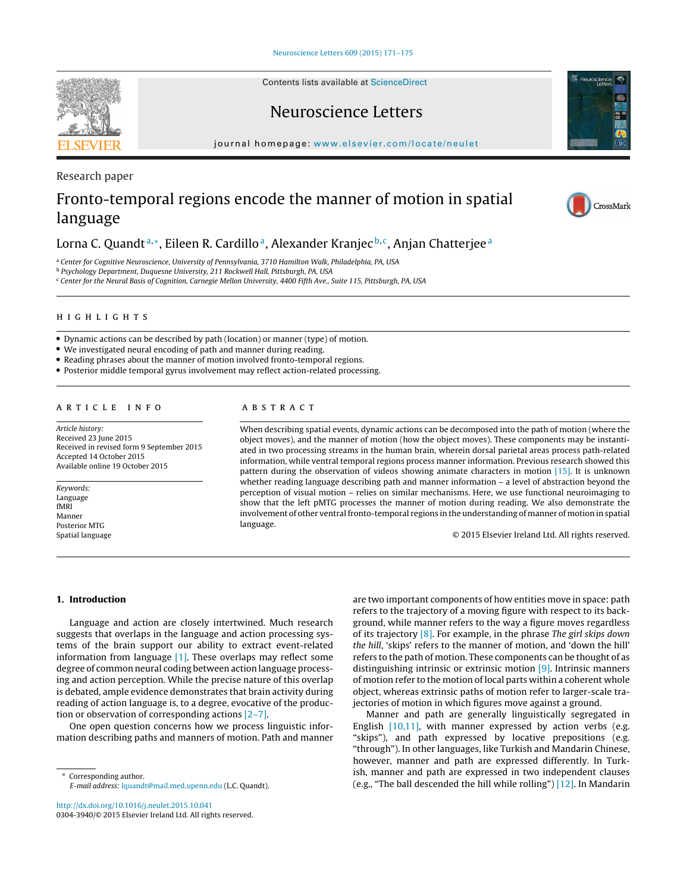Contents lists available at [ScienceDirect](http://www.sciencedirect.com/science/journal/03043940)

# Neuroscience Letters

iournal homepage: [www.elsevier.com/locate/neulet](http://www.elsevier.com/locate/neulet)

Research paper

# Fronto-temporal regions encode the manner of motion in spatial language

# Lorna C. Quandt<sup>a,\*</sup>, Eileen R. Cardillo<sup>a</sup>, Alexander Kranjec<sup>b,c</sup>, Anjan Chatterjee<sup>a</sup>

<sup>a</sup> Center for Cognitive Neuroscience, University of Pennsylvania, 3710 Hamilton Walk, Philadelphia, PA, USA

<sup>b</sup> Psychology Department, Duquesne University, 211 Rockwell Hall, Pittsburgh, PA, USA

<sup>c</sup> Center for the Neural Basis of Cognition, Carnegie Mellon University, 4400 Fifth Ave., Suite 115, Pittsburgh, PA, USA

- Dynamic actions can be described by path (location) or manner (type) of motion.
- We investigated neural encoding of path and manner during reading.
- Reading phrases about the manner of motion involved fronto-temporal regions.
- Posterior middle temporal gyrus involvement may reflect action-related processing.

# ARTICLE INFO

Article history: Received 23 June 2015 Received in revised form 9 September 2015 Accepted 14 October 2015 Available online 19 October 2015

Keywords: Language fMRI Manner Posterior MTG Spatial language

When describing spatial events, dynamic actions can be decomposed into the path of motion (where the object moves), and the manner of motion (how the object moves). These components may be instantiated in two processing streams in the human brain, wherein dorsal parietal areas process path-related information, while ventral temporal regions process manner information. Previous research showed this pattern during the observation of videos showing animate characters in motion [\[15\].](#page-4-0) It is unknown whether reading language describing path and manner information – a level of abstraction beyond the perception of visual motion – relies on similar mechanisms. Here, we use functional neuroimaging to show that the left pMTG processes the manner of motion during reading. We also demonstrate the involvement of other ventral fronto-temporal regions in the understanding of manner of motion in spatial language.

© 2015 Elsevier Ireland Ltd. All rights reserved.

## **1. Introduction**

Language and action are closely intertwined. Much research suggests that overlaps in the language and action processing systems of the brain support our ability to extract event-related information from language [\[1\].](#page-4-0) These overlaps may reflect some degree of common neural coding between action language processing and action perception. While the precise nature of this overlap is debated, ample evidence demonstrates that brain activity during reading of action language is, to a degree, evocative of the production or observation of corresponding actions [\[2–7\].](#page-4-0)

One open question concerns how we process linguistic information describing paths and manners of motion. Path and manner

∗ Corresponding author. E-mail address: [lquandt@mail.med.upenn.edu](mailto:lquandt@mail.med.upenn.edu) (L.C. Quandt).

[http://dx.doi.org/10.1016/j.neulet.2015.10.041](dx.doi.org/10.1016/j.neulet.2015.10.041) 0304-3940/© 2015 Elsevier Ireland Ltd. All rights reserved. are two important components of how entities move in space: path refers to the trajectory of a moving figure with respect to its background, while manner refers to the way a figure moves regardless of its trajectory  $[8]$ . For example, in the phrase The girl skips down the hill, 'skips' refers to the manner of motion, and 'down the hill' refers to the path of motion. These components can be thought of as distinguishing intrinsic or extrinsic motion [\[9\].](#page-4-0) Intrinsic manners of motion refer to the motion of local parts within a coherent whole object, whereas extrinsic paths of motion refer to larger-scale trajectories of motion in which figures move against a ground.

Manner and path are generally linguistically segregated in English [\[10,11\],](#page-4-0) with manner expressed by action verbs (e.g. "skips"), and path expressed by locative prepositions (e.g. "through"). In other languages, like Turkish and Mandarin Chinese, however, manner and path are expressed differently. In Turkish, manner and path are expressed in two independent clauses (e.g., "The ball descended the hill while rolling") [\[12\].](#page-4-0) In Mandarin





CrossMark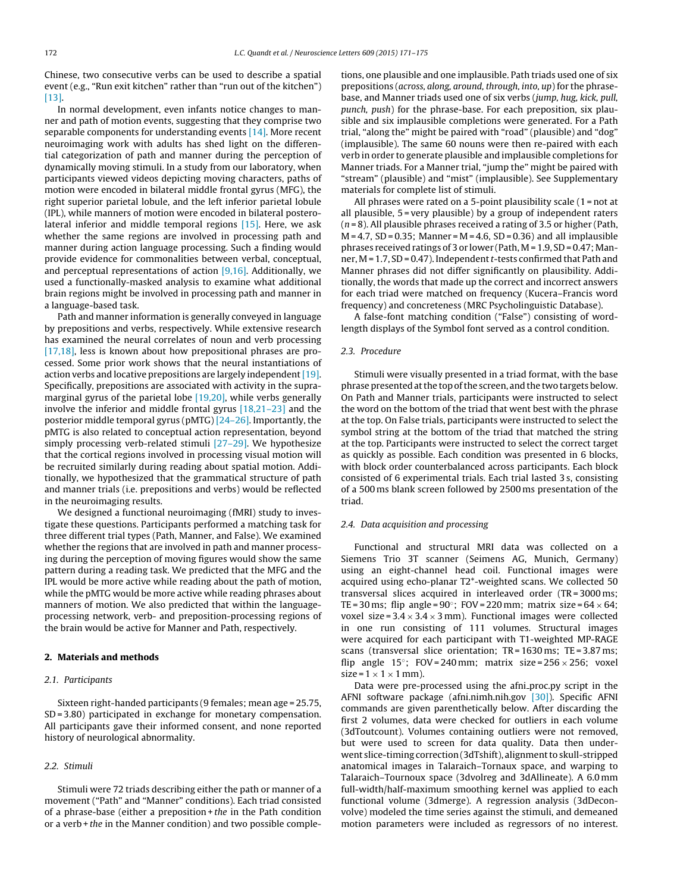Chinese, two consecutive verbs can be used to describe a spatial event (e.g., "Run exit kitchen" rather than "run out of the kitchen") [\[13\].](#page-4-0)

In normal development, even infants notice changes to manner and path of motion events, suggesting that they comprise two separable components for understanding events [\[14\].](#page-4-0) More recent neuroimaging work with adults has shed light on the differential categorization of path and manner during the perception of dynamically moving stimuli. In a study from our laboratory, when participants viewed videos depicting moving characters, paths of motion were encoded in bilateral middle frontal gyrus (MFG), the right superior parietal lobule, and the left inferior parietal lobule (IPL), while manners of motion were encoded in bilateral posterolateral inferior and middle temporal regions [\[15\].](#page-4-0) Here, we ask whether the same regions are involved in processing path and manner during action language processing. Such a finding would provide evidence for commonalities between verbal, conceptual, and perceptual representations of action  $[9,16]$ . Additionally, we used a functionally-masked analysis to examine what additional brain regions might be involved in processing path and manner in a language-based task.

Path and manner information is generally conveyed in language by prepositions and verbs, respectively. While extensive research has examined the neural correlates of noun and verb processing [\[17,18\],](#page-4-0) less is known about how prepositional phrases are processed. Some prior work shows that the neural instantiations of action verbs and locative prepositions are largely independent  $[19]$ . Specifically, prepositions are associated with activity in the supramarginal gyrus of the parietal lobe [\[19,20\],](#page-4-0) while verbs generally involve the inferior and middle frontal gyrus [\[18,21–23\]](#page-4-0) and the posterior middle temporal gyrus (pMTG) [\[24–26\].](#page-4-0) Importantly, the pMTG is also related to conceptual action representation, beyond simply processing verb-related stimuli [\[27–29\].](#page-4-0) We hypothesize that the cortical regions involved in processing visual motion will be recruited similarly during reading about spatial motion. Additionally, we hypothesized that the grammatical structure of path and manner trials (i.e. prepositions and verbs) would be reflected in the neuroimaging results.

We designed a functional neuroimaging (fMRI) study to investigate these questions. Participants performed a matching task for three different trial types (Path, Manner, and False). We examined whether the regions that are involved in path and manner processing during the perception of moving figures would show the same pattern during a reading task. We predicted that the MFG and the IPL would be more active while reading about the path of motion, while the pMTG would be more active while reading phrases about manners of motion. We also predicted that within the languageprocessing network, verb- and preposition-processing regions of the brain would be active for Manner and Path, respectively.

# **2. Materials and methods**

# 2.1. Participants

Sixteen right-handed participants (9 females; mean age = 25.75, SD = 3.80) participated in exchange for monetary compensation. All participants gave their informed consent, and none reported history of neurological abnormality.

# 2.2. Stimuli

Stimuli were 72 triads describing either the path or manner of a movement ("Path" and "Manner" conditions). Each triad consisted of a phrase-base (either a preposition  $+$  the in the Path condition or a verb + the in the Manner condition) and two possible completions, one plausible and one implausible. Path triads used one of six prepositions (across, along, around, through, into, up) for the phrasebase, and Manner triads used one of six verbs (jump, hug, kick, pull, punch, push) for the phrase-base. For each preposition, six plausible and six implausible completions were generated. For a Path trial, "along the" might be paired with "road" (plausible) and "dog" (implausible). The same 60 nouns were then re-paired with each verb in order to generate plausible and implausible completions for Manner triads. For a Manner trial, "jump the" might be paired with "stream" (plausible) and "mist" (implausible). See Supplementary materials for complete list of stimuli.

All phrases were rated on a 5-point plausibility scale (1 = not at all plausible, 5 = very plausible) by a group of independent raters  $(n=8)$ . All plausible phrases received a rating of 3.5 or higher (Path,  $M = 4.7$ , SD = 0.35; Manner = M = 4.6, SD = 0.36) and all implausible phrases received ratings of 3 or lower (Path, M = 1.9, SD = 0.47; Manner,  $M = 1.7$ ,  $SD = 0.47$ ). Independent t-tests confirmed that Path and Manner phrases did not differ significantly on plausibility. Additionally, the words that made up the correct and incorrect answers for each triad were matched on frequency (Kucera–Francis word frequency) and concreteness (MRC Psycholinguistic Database).

A false-font matching condition ("False") consisting of wordlength displays of the Symbol font served as a control condition.

## 2.3. Procedure

Stimuli were visually presented in a triad format, with the base phrase presented atthe top ofthe screen, and the two targets below. On Path and Manner trials, participants were instructed to select the word on the bottom of the triad that went best with the phrase at the top. On False trials, participants were instructed to select the symbol string at the bottom of the triad that matched the string at the top. Participants were instructed to select the correct target as quickly as possible. Each condition was presented in 6 blocks, with block order counterbalanced across participants. Each block consisted of 6 experimental trials. Each trial lasted 3 s, consisting of a 500 ms blank screen followed by 2500 ms presentation of the triad.

# 2.4. Data acquisition and processing

Functional and structural MRI data was collected on a Siemens Trio 3T scanner (Seimens AG, Munich, Germany) using an eight-channel head coil. Functional images were acquired using echo-planar T2\*-weighted scans. We collected 50 transversal slices acquired in interleaved order (TR = 3000 ms; TE = 30 ms; flip angle =  $90^\circ$ ; FOV = 220 mm; matrix size =  $64 \times 64$ ; voxel size =  $3.4 \times 3.4 \times 3$  mm). Functional images were collected in one run consisting of 111 volumes. Structural images were acquired for each participant with T1-weighted MP-RAGE scans (transversal slice orientation; TR = 1630 ms; TE = 3.87 ms; flip angle 15°; FOV=240 mm; matrix size =  $256 \times 256$ ; voxel size =  $1 \times 1 \times 1$  mm).

Data were pre-processed using the afni proc.py script in the AFNI software package (afni.nimh.nih.gov [\[30\]\).](#page-4-0) Specific AFNI commands are given parenthetically below. After discarding the first 2 volumes, data were checked for outliers in each volume (3dToutcount). Volumes containing outliers were not removed, but were used to screen for data quality. Data then underwent slice-timing correction (3dTshift), alignment to skull-stripped anatomical images in Talaraich–Tornaux space, and warping to Talaraich–Tournoux space (3dvolreg and 3dAllineate). A 6.0 mm full-width/half-maximum smoothing kernel was applied to each functional volume (3dmerge). A regression analysis (3dDeconvolve) modeled the time series against the stimuli, and demeaned motion parameters were included as regressors of no interest.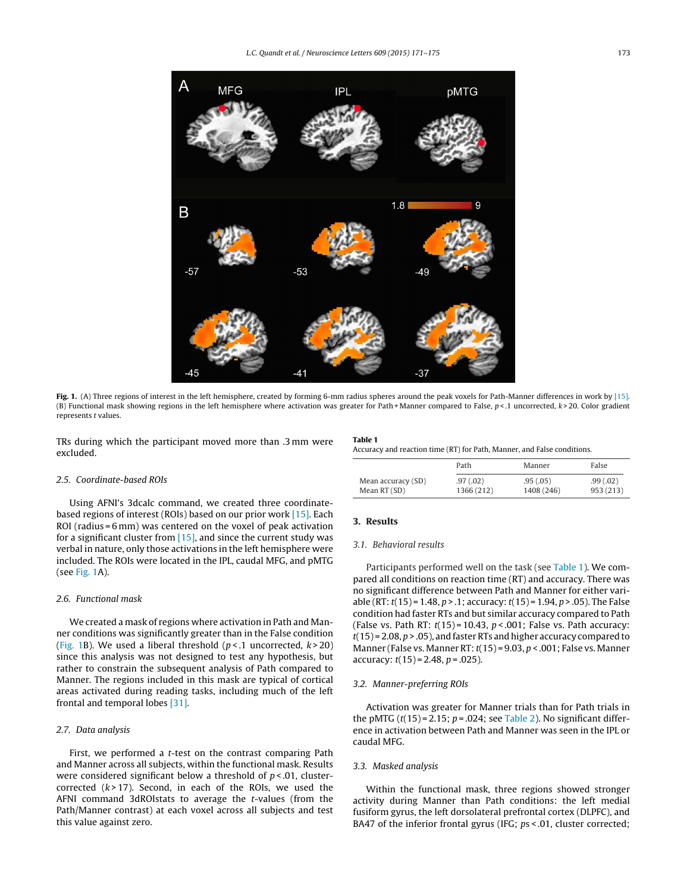<span id="page-2-0"></span>

**Fig. 1.** (A) Three regions of interest in the left hemisphere, created by forming 6-mm radius spheres around the peak voxels for Path-Manner differences in work by [\[15\].](#page-4-0) (B) Functional mask showing regions in the left hemisphere where activation was greater for Path + Manner compared to False, p < .1 uncorrected, k > 20. Color gradient represents t values.

TRs during which the participant moved more than .3 mm were excluded.

#### **Table 1**

Accuracy and reaction time (RT) for Path, Manner, and False conditions.

|                    | Path       | Manner     | False     |
|--------------------|------------|------------|-----------|
| Mean accuracy (SD) | .97(0.02)  | .95(.05)   | .99(0.02) |
| Mean RT (SD)       | 1366 (212) | 1408 (246) | 953 (213) |

# 2.5. Coordinate-based ROIs

Using AFNI's 3dcalc command, we created three coordinatebased regions of interest (ROIs) based on our prior work [\[15\].](#page-4-0) Each ROI (radius = 6 mm) was centered on the voxel of peak activation for a significant cluster from  $[15]$ , and since the current study was verbal in nature, only those activations in the left hemisphere were included. The ROIs were located in the IPL, caudal MFG, and pMTG (see Fig. 1A).

# 2.6. Functional mask

We created a mask of regions where activation in Path and Manner conditions was significantly greater than in the False condition (Fig. 1B). We used a liberal threshold ( $p$ <.1 uncorrected,  $k$  > 20) since this analysis was not designed to test any hypothesis, but rather to constrain the subsequent analysis of Path compared to Manner. The regions included in this mask are typical of cortical areas activated during reading tasks, including much of the left frontal and temporal lobes [\[31\].](#page-4-0)

# 2.7. Data analysis

First, we performed a t-test on the contrast comparing Path and Manner across all subjects, within the functional mask. Results were considered significant below a threshold of  $p < .01$ , clustercorrected  $(k > 17)$ . Second, in each of the ROIs, we used the AFNI command 3dROIstats to average the t-values (from the Path/Manner contrast) at each voxel across all subjects and test this value against zero.

### **3. Results**

#### 3.1. Behavioral results

Participants performed well on the task (see Table 1). We compared all conditions on reaction time (RT) and accuracy. There was no significant difference between Path and Manner for either variable (RT:  $t(15)$  = 1.48,  $p > 1$ ; accuracy:  $t(15)$  = 1.94,  $p > .05$ ). The False condition had faster RTs and but similar accuracy compared to Path (False vs. Path RT:  $t(15) = 10.43$ ,  $p < .001$ ; False vs. Path accuracy:  $t(15)$  = 2.08,  $p > .05$ ), and faster RTs and higher accuracy compared to Manner (False vs. Manner RT:  $t(15) = 9.03$ ,  $p < .001$ ; False vs. Manner accuracy:  $t(15) = 2.48$ ,  $p = .025$ ).

# 3.2. Manner-preferring ROIs

Activation was greater for Manner trials than for Path trials in the pMTG  $(t(15) = 2.15; p = .024;$  see [Table](#page-3-0) 2). No significant difference in activation between Path and Manner was seen in the IPL or caudal MFG.

# 3.3. Masked analysis

Within the functional mask, three regions showed stronger activity during Manner than Path conditions: the left medial fusiform gyrus, the left dorsolateral prefrontal cortex (DLPFC), and BA47 of the inferior frontal gyrus (IFG; ps < .01, cluster corrected;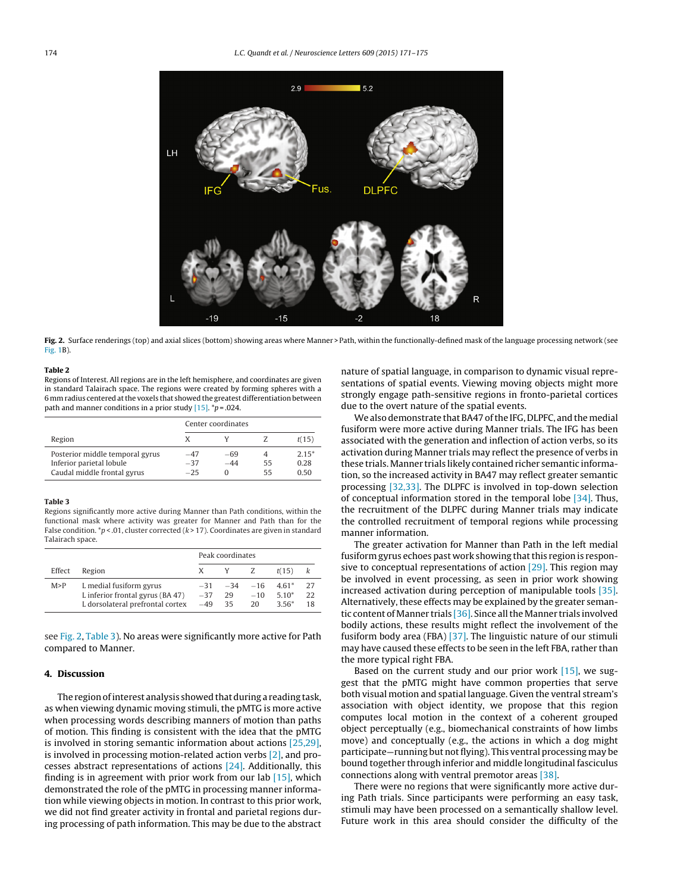<span id="page-3-0"></span>

**Fig. 2.** Surface renderings (top) and axial slices (bottom) showing areas where Manner > Path, within the functionally-defined mask of the language processing network (see [Fig.](#page-2-0) 1B).

#### **Table 2**

Regions of Interest. All regions are in the left hemisphere, and coordinates are given in standard Talairach space. The regions were created by forming spheres with a 6 mm radius centered atthe voxels that showed the greatest differentiation between path and manner conditions in a prior study  $[15]$ . \*p = .024.

|                                                                                            | Center coordinates      |                          |          |                         |  |
|--------------------------------------------------------------------------------------------|-------------------------|--------------------------|----------|-------------------------|--|
| Region                                                                                     |                         |                          |          | t(15)                   |  |
| Posterior middle temporal gyrus<br>Inferior parietal lobule<br>Caudal middle frontal gyrus | $-47$<br>$-37$<br>$-25$ | -69<br>$-44$<br>$^{(1)}$ | 55<br>55 | $2.15*$<br>0.28<br>0.50 |  |

### **Table 3**

Regions significantly more active during Manner than Path conditions, within the functional mask where activity was greater for Manner and Path than for the False condition.  $\sp{\ast}p$  < .01, cluster corrected (k > 17). Coordinates are given in standard Talairach space.

|        |                                                                                                 | Peak coordinates |                                        |             |                    |           |
|--------|-------------------------------------------------------------------------------------------------|------------------|----------------------------------------|-------------|--------------------|-----------|
| Effect | Region                                                                                          | X.               | Y Z                                    |             | t(15)              |           |
| M > P  | L medial fusiform gyrus<br>L inferior frontal gyrus (BA 47)<br>L dorsolateral prefrontal cortex | $-37$<br>$-49$   | $-31$ $-34$ $-16$ $4.61^*$<br>29<br>35 | $-10$<br>20 | $5.10*$<br>$3.56*$ | -27<br>22 |

see Fig. 2, Table 3). No areas were significantly more active for Path compared to Manner.

# **4. Discussion**

The region of interest analysis showed that during a reading task, as when viewing dynamic moving stimuli, the pMTG is more active when processing words describing manners of motion than paths of motion. This finding is consistent with the idea that the pMTG is involved in storing semantic information about actions [\[25,29\],](#page-4-0) is involved in processing motion-related action verbs [\[2\],](#page-4-0) and processes abstract representations of actions [\[24\].](#page-4-0) Additionally, this finding is in agreement with prior work from our lab [\[15\],](#page-4-0) which demonstrated the role of the pMTG in processing manner information while viewing objects in motion. In contrast to this prior work, we did not find greater activity in frontal and parietal regions during processing of path information. This may be due to the abstract

nature of spatial language, in comparison to dynamic visual representations of spatial events. Viewing moving objects might more strongly engage path-sensitive regions in fronto-parietal cortices due to the overt nature of the spatial events.

We also demonstrate that BA47 of the IFG, DLPFC, and the medial fusiform were more active during Manner trials. The IFG has been associated with the generation and inflection of action verbs, so its activation during Manner trials may reflect the presence of verbs in these trials. Manner trials likely contained richer semantic information, so the increased activity in BA47 may reflect greater semantic processing [\[32,33\].](#page-4-0) The DLPFC is involved in top-down selection of conceptual information stored in the temporal lobe [\[34\].](#page-4-0) Thus, the recruitment of the DLPFC during Manner trials may indicate the controlled recruitment of temporal regions while processing manner information.

The greater activation for Manner than Path in the left medial fusiform gyrus echoes past work showing that this region is responsive to conceptual representations of action  $[29]$ . This region may be involved in event processing, as seen in prior work showing increased activation during perception of manipulable tools [\[35\].](#page-4-0) Alternatively, these effects may be explained by the greater semantic content of Manner trials  $[36]$ . Since all the Manner trials involved bodily actions, these results might reflect the involvement of the fusiform body area (FBA) [\[37\].](#page-4-0) The linguistic nature of our stimuli may have caused these effects to be seen in the left FBA, rather than the more typical right FBA.

Based on the current study and our prior work [\[15\],](#page-4-0) we suggest that the pMTG might have common properties that serve both visual motion and spatial language. Given the ventral stream's association with object identity, we propose that this region computes local motion in the context of a coherent grouped object perceptually (e.g., biomechanical constraints of how limbs move) and conceptually (e.g., the actions in which a dog might participate—running but not flying). This ventral processing may be bound together through inferior and middle longitudinal fasciculus connections along with ventral premotor areas [\[38\].](#page-4-0)

There were no regions that were significantly more active during Path trials. Since participants were performing an easy task, stimuli may have been processed on a semantically shallow level. Future work in this area should consider the difficulty of the